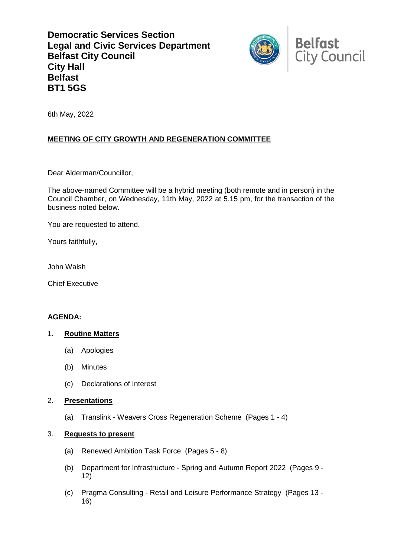**Democratic Services Section Legal and Civic Services Department Belfast City Council City Hall Belfast BT1 5GS**



6th May, 2022

# **MEETING OF CITY GROWTH AND REGENERATION COMMITTEE**

Dear Alderman/Councillor,

The above-named Committee will be a hybrid meeting (both remote and in person) in the Council Chamber, on Wednesday, 11th May, 2022 at 5.15 pm, for the transaction of the business noted below.

You are requested to attend.

Yours faithfully,

John Walsh

Chief Executive

#### **AGENDA:**

## 1. **Routine Matters**

- (a) Apologies
- (b) Minutes
- (c) Declarations of Interest

#### 2. **Presentations**

(a) Translink - Weavers Cross Regeneration Scheme (Pages 1 - 4)

#### 3. **Requests to present**

- (a) Renewed Ambition Task Force (Pages 5 8)
- (b) Department for Infrastructure Spring and Autumn Report 2022 (Pages 9 12)
- (c) Pragma Consulting Retail and Leisure Performance Strategy (Pages 13 16)